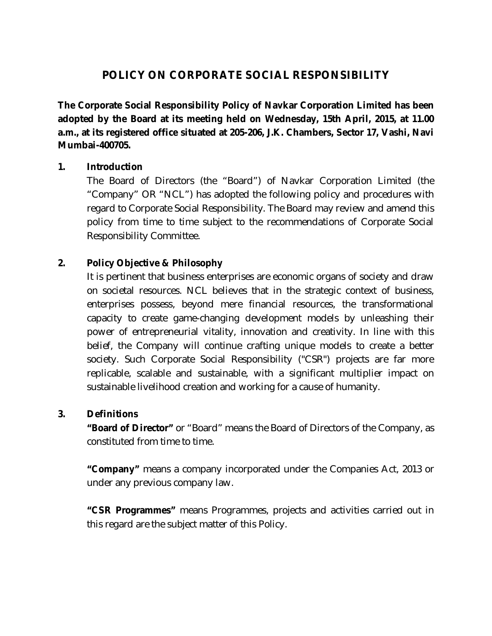# **POLICY ON CORPORATE SOCIAL RESPONSIBILITY**

**The Corporate Social Responsibility Policy of Navkar Corporation Limited has been adopted by the Board at its meeting held on Wednesday, 15th April, 2015, at 11.00 a.m., at its registered office situated at 205-206, J.K. Chambers, Sector 17, Vashi, Navi Mumbai-400705.**

## **1. Introduction**

The Board of Directors (the "Board") of Navkar Corporation Limited (the "Company" OR "NCL") has adopted the following policy and procedures with regard to Corporate Social Responsibility. The Board may review and amend this policy from time to time subject to the recommendations of Corporate Social Responsibility Committee.

# **2. Policy Objective & Philosophy**

It is pertinent that business enterprises are economic organs of society and draw on societal resources. NCL believes that in the strategic context of business, enterprises possess, beyond mere financial resources, the transformational capacity to create game-changing development models by unleashing their power of entrepreneurial vitality, innovation and creativity. In line with this belief, the Company will continue crafting unique models to create a better society. Such Corporate Social Responsibility ("CSR") projects are far more replicable, scalable and sustainable, with a significant multiplier impact on sustainable livelihood creation and working for a cause of humanity.

## **3. Definitions**

**"Board of Director"** or "Board" means the Board of Directors of the Company, as constituted from time to time.

**"Company"** means a company incorporated under the Companies Act, 2013 or under any previous company law.

**"CSR Programmes"** means Programmes, projects and activities carried out in this regard are the subject matter of this Policy.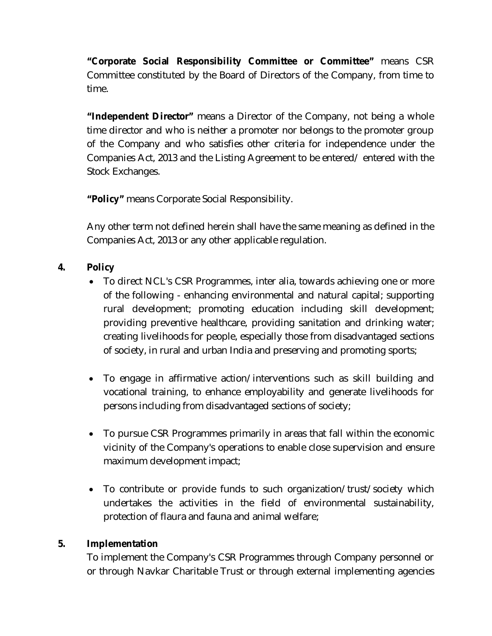**"Corporate Social Responsibility Committee or Committee"** means CSR Committee constituted by the Board of Directors of the Company, from time to time.

**"Independent Director"** means a Director of the Company, not being a whole time director and who is neither a promoter nor belongs to the promoter group of the Company and who satisfies other criteria for independence under the Companies Act, 2013 and the Listing Agreement to be entered/ entered with the Stock Exchanges.

**"Policy"** means Corporate Social Responsibility.

Any other term not defined herein shall have the same meaning as defined in the Companies Act, 2013 or any other applicable regulation.

# **4. Policy**

- To direct NCL's CSR Programmes, inter alia, towards achieving one or more of the following - enhancing environmental and natural capital; supporting rural development; promoting education including skill development; providing preventive healthcare, providing sanitation and drinking water; creating livelihoods for people, especially those from disadvantaged sections of society, in rural and urban India and preserving and promoting sports;
- To engage in affirmative action/interventions such as skill building and vocational training, to enhance employability and generate livelihoods for persons including from disadvantaged sections of society;
- To pursue CSR Programmes primarily in areas that fall within the economic vicinity of the Company's operations to enable close supervision and ensure maximum development impact;
- To contribute or provide funds to such organization/trust/society which undertakes the activities in the field of environmental sustainability, protection of flaura and fauna and animal welfare;

## **5. Implementation**

To implement the Company's CSR Programmes through Company personnel or or through Navkar Charitable Trust or through external implementing agencies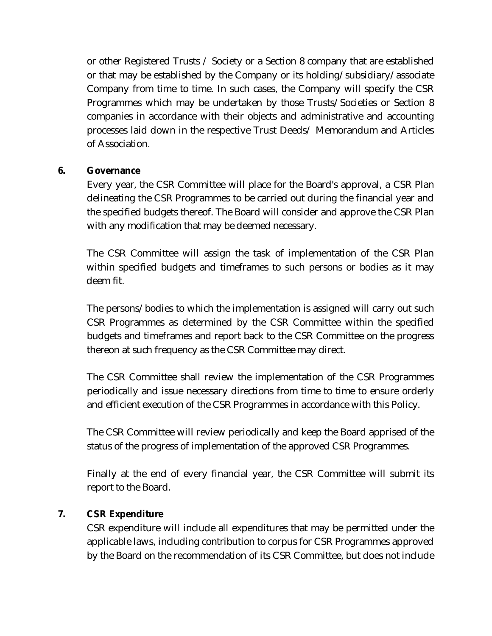or other Registered Trusts / Society or a Section 8 company that are established or that may be established by the Company or its holding/subsidiary/associate Company from time to time. In such cases, the Company will specify the CSR Programmes which may be undertaken by those Trusts/Societies or Section 8 companies in accordance with their objects and administrative and accounting processes laid down in the respective Trust Deeds/ Memorandum and Articles of Association.

## **6. Governance**

Every year, the CSR Committee will place for the Board's approval, a CSR Plan delineating the CSR Programmes to be carried out during the financial year and the specified budgets thereof. The Board will consider and approve the CSR Plan with any modification that may be deemed necessary.

The CSR Committee will assign the task of implementation of the CSR Plan within specified budgets and timeframes to such persons or bodies as it may deem fit.

The persons/bodies to which the implementation is assigned will carry out such CSR Programmes as determined by the CSR Committee within the specified budgets and timeframes and report back to the CSR Committee on the progress thereon at such frequency as the CSR Committee may direct.

The CSR Committee shall review the implementation of the CSR Programmes periodically and issue necessary directions from time to time to ensure orderly and efficient execution of the CSR Programmes in accordance with this Policy.

The CSR Committee will review periodically and keep the Board apprised of the status of the progress of implementation of the approved CSR Programmes.

Finally at the end of every financial year, the CSR Committee will submit its report to the Board.

#### **7. CSR Expenditure**

CSR expenditure will include all expenditures that may be permitted under the applicable laws, including contribution to corpus for CSR Programmes approved by the Board on the recommendation of its CSR Committee, but does not include